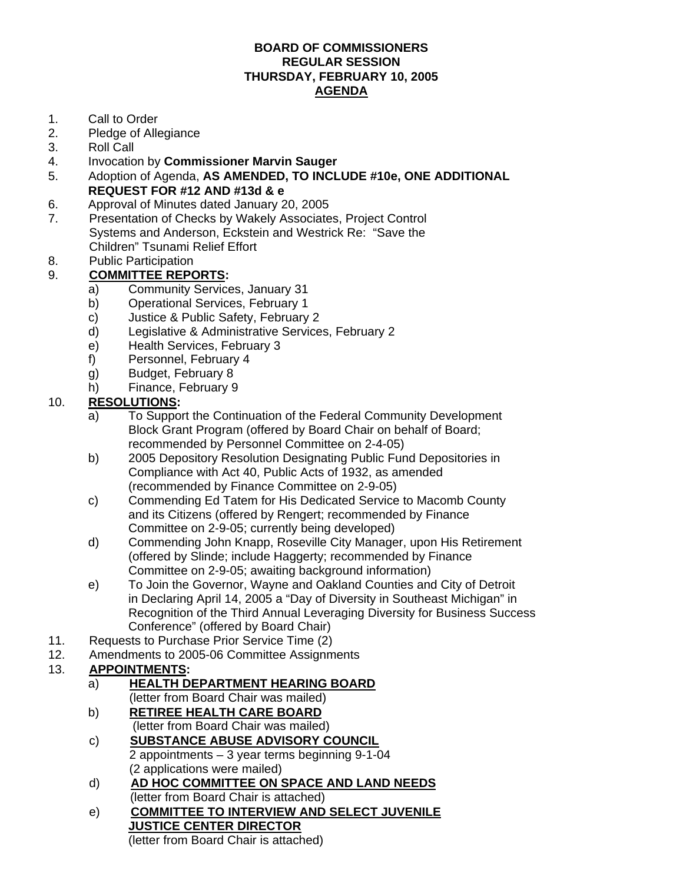#### **BOARD OF COMMISSIONERS REGULAR SESSION THURSDAY, FEBRUARY 10, 2005 AGENDA**

- 1. Call to Order
- 2. Pledge of Allegiance
- 3. Roll Call
- 4. Invocation by **Commissioner Marvin Sauger**
- 5. Adoption of Agenda, **AS AMENDED, TO INCLUDE #10e, ONE ADDITIONAL REQUEST FOR #12 AND #13d & e**
- 6. Approval of Minutes dated January 20, 2005
- 7. Presentation of Checks by Wakely Associates, Project Control Systems and Anderson, Eckstein and Westrick Re: "Save the Children" Tsunami Relief Effort
- 8. Public Participation

## 9. **COMMITTEE REPORTS:**

- a) Community Services, January 31
- b) Operational Services, February 1
- c) Justice & Public Safety, February 2
- d) Legislative & Administrative Services, February 2
- e) Health Services, February 3
- f) Personnel, February 4
- g) Budget, February 8
- h) Finance, February 9

#### 10. **RESOLUTIONS:**

- a) To Support the Continuation of the Federal Community Development Block Grant Program (offered by Board Chair on behalf of Board; recommended by Personnel Committee on 2-4-05)
- b) 2005 Depository Resolution Designating Public Fund Depositories in Compliance with Act 40, Public Acts of 1932, as amended (recommended by Finance Committee on 2-9-05)
- c) Commending Ed Tatem for His Dedicated Service to Macomb County and its Citizens (offered by Rengert; recommended by Finance Committee on 2-9-05; currently being developed)
- d) Commending John Knapp, Roseville City Manager, upon His Retirement (offered by Slinde; include Haggerty; recommended by Finance Committee on 2-9-05; awaiting background information)
- e) To Join the Governor, Wayne and Oakland Counties and City of Detroit in Declaring April 14, 2005 a "Day of Diversity in Southeast Michigan" in Recognition of the Third Annual Leveraging Diversity for Business Success Conference" (offered by Board Chair)
- 11. Requests to Purchase Prior Service Time (2)
- 12. Amendments to 2005-06 Committee Assignments

### 13. **APPOINTMENTS:**

- a) **HEALTH DEPARTMENT HEARING BOARD** (letter from Board Chair was mailed)
- b) **RETIREE HEALTH CARE BOARD** (letter from Board Chair was mailed)
- c) **SUBSTANCE ABUSE ADVISORY COUNCIL** 2 appointments – 3 year terms beginning 9-1-04 (2 applications were mailed)
- d) **AD HOC COMMITTEE ON SPACE AND LAND NEEDS** (letter from Board Chair is attached)
- e) **COMMITTEE TO INTERVIEW AND SELECT JUVENILE JUSTICE CENTER DIRECTOR** (letter from Board Chair is attached)